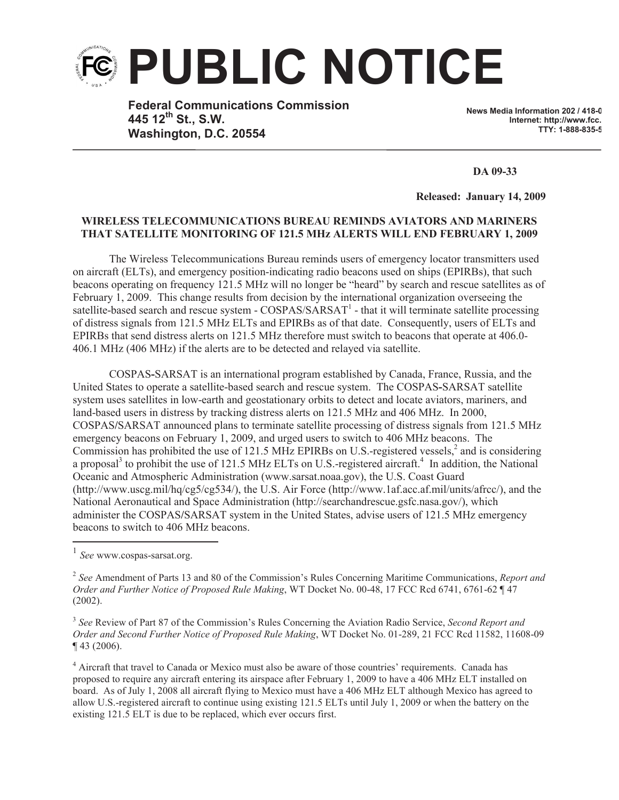

**Federal Communications Commission 445 12th St., S.W. Washington, D.C. 20554**

**News Media Information 202 / 418-0 Internet: http://www.fcc. TTY: 1-888-835-5322**

**DA 09-33**

**Released: January 14, 2009** 

## **WIRELESS TELECOMMUNICATIONS BUREAU REMINDS AVIATORS AND MARINERS THAT SATELLITE MONITORING OF 121.5 MHz ALERTS WILL END FEBRUARY 1, 2009**

The Wireless Telecommunications Bureau reminds users of emergency locator transmitters used on aircraft (ELTs), and emergency position-indicating radio beacons used on ships (EPIRBs), that such beacons operating on frequency 121.5 MHz will no longer be "heard" by search and rescue satellites as of February 1, 2009. This change results from decision by the international organization overseeing the satellite-based search and rescue system - COSPAS/SARSAT<sup>1</sup> - that it will terminate satellite processing of distress signals from 121.5 MHz ELTs and EPIRBs as of that date. Consequently, users of ELTs and EPIRBs that send distress alerts on 121.5 MHz therefore must switch to beacons that operate at 406.0- 406.1 MHz (406 MHz) if the alerts are to be detected and relayed via satellite.

COSPAS**-**SARSAT is an international program established by Canada, France, Russia, and the United States to operate a satellite-based search and rescue system. The COSPAS**-**SARSAT satellite system uses satellites in low-earth and geostationary orbits to detect and locate aviators, mariners, and land-based users in distress by tracking distress alerts on 121.5 MHz and 406 MHz. In 2000, COSPAS**/**SARSAT announced plans to terminate satellite processing of distress signals from 121.5 MHz emergency beacons on February 1, 2009, and urged users to switch to 406 MHz beacons. The Commission has prohibited the use of 121.5 MHz EPIRBs on U.S.-registered vessels,<sup>2</sup> and is considering a proposal<sup>3</sup> to prohibit the use of 121.5 MHz ELTs on U.S.-registered aircraft.<sup>4</sup> In addition, the National Oceanic and Atmospheric Administration (www.sarsat.noaa.gov), the U.S. Coast Guard (http://www.uscg.mil/hq/cg5/cg534/), the U.S. Air Force (http://www.1af.acc.af.mil/units/afrcc/), and the National Aeronautical and Space Administration (http://searchandrescue.gsfc.nasa.gov/), which administer the COSPAS**/**SARSAT system in the United States, advise users of 121.5 MHz emergency beacons to switch to 406 MHz beacons.

<sup>4</sup> Aircraft that travel to Canada or Mexico must also be aware of those countries' requirements. Canada has proposed to require any aircraft entering its airspace after February 1, 2009 to have a 406 MHz ELT installed on board. As of July 1, 2008 all aircraft flying to Mexico must have a 406 MHz ELT although Mexico has agreed to allow U.S.-registered aircraft to continue using existing 121.5 ELTs until July 1, 2009 or when the battery on the existing 121.5 ELT is due to be replaced, which ever occurs first.

<sup>1</sup> *See* www.cospas-sarsat.org.

<sup>2</sup> *See* Amendment of Parts 13 and 80 of the Commission's Rules Concerning Maritime Communications, *Report and Order and Further Notice of Proposed Rule Making*, WT Docket No. 00-48, 17 FCC Rcd 6741, 6761-62 ¶ 47 (2002).

<sup>3</sup> *See* Review of Part 87 of the Commission's Rules Concerning the Aviation Radio Service, *Second Report and Order and Second Further Notice of Proposed Rule Making*, WT Docket No. 01-289, 21 FCC Rcd 11582, 11608-09 ¶ 43 (2006).